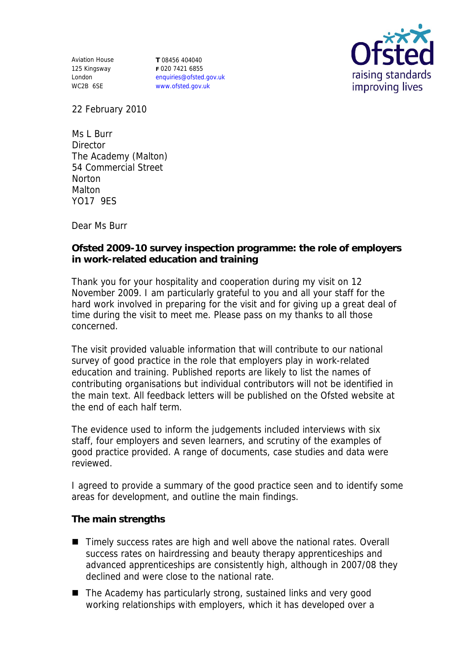Aviation House 125 Kingsway London WC2B 6SE

**T** 08456 404040 **F** 020 7421 6855 enquiries@ofsted.gov.uk www.ofsted.gov.uk



22 February 2010

Ms L Burr **Director** The Academy (Malton) 54 Commercial Street **Norton** Malton YO17 9ES

Dear Ms Burr

**Ofsted 2009-10 survey inspection programme: the role of employers in work-related education and training**

Thank you for your hospitality and cooperation during my visit on 12 November 2009. I am particularly grateful to you and all your staff for the hard work involved in preparing for the visit and for giving up a great deal of time during the visit to meet me. Please pass on my thanks to all those concerned.

The visit provided valuable information that will contribute to our national survey of good practice in the role that employers play in work-related education and training. Published reports are likely to list the names of contributing organisations but individual contributors will not be identified in the main text. All feedback letters will be published on the Ofsted website at the end of each half term.

The evidence used to inform the judgements included interviews with six staff, four employers and seven learners, and scrutiny of the examples of good practice provided. A range of documents, case studies and data were reviewed.

I agreed to provide a summary of the good practice seen and to identify some areas for development, and outline the main findings.

**The main strengths**

- Timely success rates are high and well above the national rates. Overall success rates on hairdressing and beauty therapy apprenticeships and advanced apprenticeships are consistently high, although in 2007/08 they declined and were close to the national rate.
- The Academy has particularly strong, sustained links and very good working relationships with employers, which it has developed over a